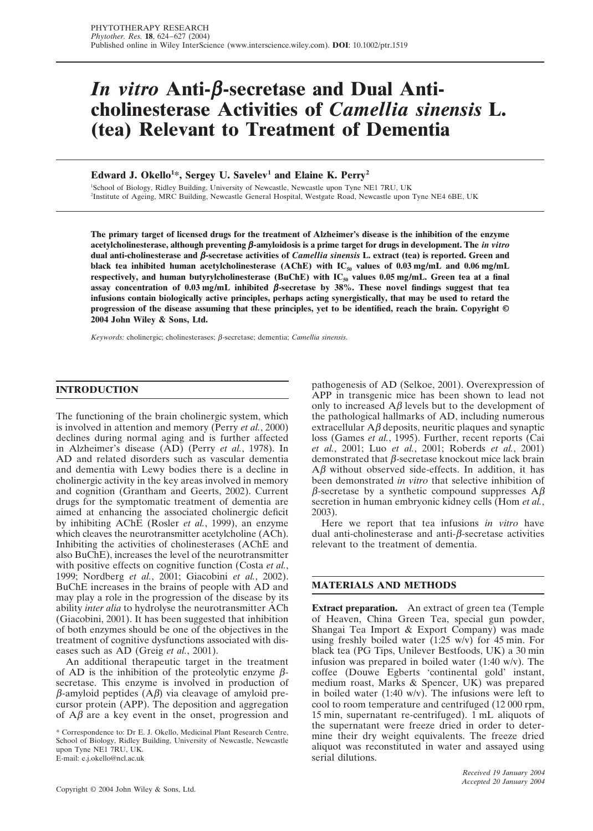# *In vitro* **Anti-**β**-secretase and Dual Anticholinesterase Activities of** *Camellia sinensis* **L. (tea) Relevant to Treatment of Dementia**

**Edward J. Okello1 \*, Sergey U. Savelev1 and Elaine K. Perry2**

1 School of Biology, Ridley Building, University of Newcastle, Newcastle upon Tyne NE1 7RU, UK 2 Institute of Ageing, MRC Building, Newcastle General Hospital, Westgate Road, Newcastle upon Tyne NE4 6BE, UK

**The primary target of licensed drugs for the treatment of Alzheimer's disease is the inhibition of the enzyme acetylcholinesterase, although preventing** β**-amyloidosis is a prime target for drugs in development. The** *in vitro* **dual anti-cholinesterase and** β**-secretase activities of** *Camellia sinensis* **L. extract (tea) is reported. Green and** black tea inhibited human acetylcholinesterase (AChE) with IC<sub>50</sub> values of 0.03 mg/mL and 0.06 mg/mL respectively, and human butyrylcholinesterase (BuChE) with IC<sub>50</sub> values 0.05 mg/mL. Green tea at a final **assay concentration of 0.03 mg/mL inhibited** β**-secretase by 38%. These novel findings suggest that tea infusions contain biologically active principles, perhaps acting synergistically, that may be used to retard the progression of the disease assuming that these principles, yet to be identified, reach the brain. Copyright © 2004 John Wiley & Sons, Ltd.**

*Keywords:* cholinergic; cholinesterases; β-secretase; dementia; *Camellia sinensis*.

## **INTRODUCTION**

The functioning of the brain cholinergic system, which is involved in attention and memory (Perry *et al.*, 2000) declines during normal aging and is further affected in Alzheimer's disease (AD) (Perry *et al.*, 1978). In AD and related disorders such as vascular dementia and dementia with Lewy bodies there is a decline in cholinergic activity in the key areas involved in memory and cognition (Grantham and Geerts, 2002). Current drugs for the symptomatic treatment of dementia are aimed at enhancing the associated cholinergic deficit by inhibiting AChE (Rosler *et al.*, 1999), an enzyme which cleaves the neurotransmitter acetylcholine (ACh). Inhibiting the activities of cholinesterases (AChE and also BuChE), increases the level of the neurotransmitter with positive effects on cognitive function (Costa *et al.*, 1999; Nordberg *et al.*, 2001; Giacobini *et al.*, 2002). BuChE increases in the brains of people with AD and may play a role in the progression of the disease by its ability *inter alia* to hydrolyse the neurotransmitter ACh (Giacobini, 2001). It has been suggested that inhibition of both enzymes should be one of the objectives in the treatment of cognitive dysfunctions associated with diseases such as AD (Greig *et al.*, 2001).

An additional therapeutic target in the treatment of AD is the inhibition of the proteolytic enzyme  $\beta$ secretase. This enzyme is involved in production of  $β$ -amyloid peptides  $(Aβ)$  via cleavage of amyloid precursor protein (APP). The deposition and aggregation of  $A\beta$  are a key event in the onset, progression and

\* Correspondence to: Dr E. J. Okello, Medicinal Plant Research Centre, School of Biology, Ridley Building, University of Newcastle, Newcastle upon Tyne NE1 7RU, UK. E-mail: e.j.okello@ncl.ac.uk

Copyright © 2004 John Wiley & Sons, Ltd. *Phytother. Res*. **18**, 624–627 (2004)

pathogenesis of AD (Selkoe, 2001). Overexpression of APP in transgenic mice has been shown to lead not only to increased  $\Delta\beta$  levels but to the development of the pathological hallmarks of AD, including numerous extracellular  $A\beta$  deposits, neuritic plaques and synaptic loss (Games *et al.*, 1995). Further, recent reports (Cai *et al.*, 2001; Luo *et al.*, 2001; Roberds *et al.*, 2001) demonstrated that β-secretase knockout mice lack brain  $A\beta$  without observed side-effects. In addition, it has been demonstrated *in vitro* that selective inhibition of β-secretase by a synthetic compound suppresses  $A\beta$ secretion in human embryonic kidney cells (Hom *et al.*, 2003).

Here we report that tea infusions *in vitro* have dual anti-cholinesterase and anti-β-secretase activities relevant to the treatment of dementia.

# **MATERIALS AND METHODS**

**Extract preparation.** An extract of green tea (Temple of Heaven, China Green Tea, special gun powder, Shangai Tea Import & Export Company) was made using freshly boiled water (1:25 w/v) for 45 min. For black tea (PG Tips, Unilever Bestfoods, UK) a 30 min infusion was prepared in boiled water (1:40 w/v). The coffee (Douwe Egberts 'continental gold' instant, medium roast, Marks & Spencer, UK) was prepared in boiled water (1:40 w/v). The infusions were left to cool to room temperature and centrifuged (12 000 rpm, 15 min, supernatant re-centrifuged). 1 mL aliquots of the supernatant were freeze dried in order to determine their dry weight equivalents. The freeze dried aliquot was reconstituted in water and assayed using serial dilutions.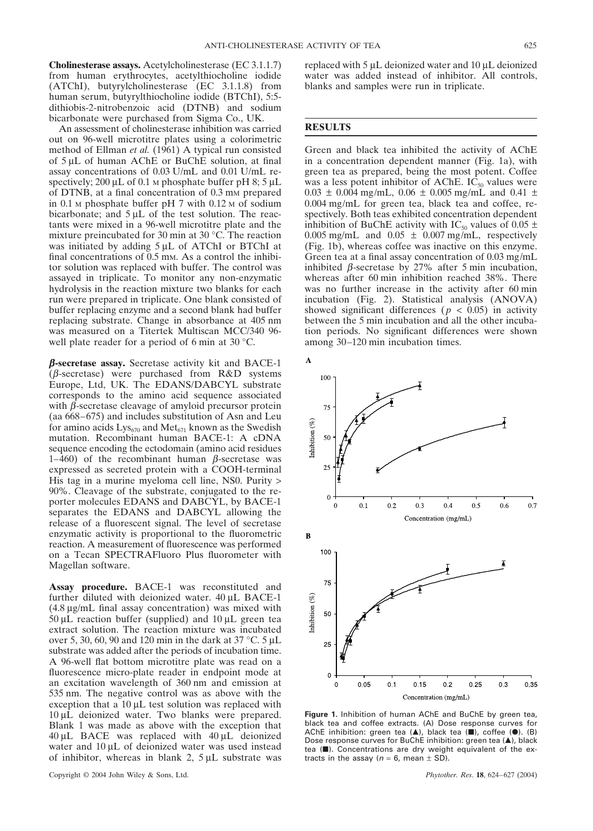**Cholinesterase assays.** Acetylcholinesterase (EC 3.1.1.7) from human erythrocytes, acetylthiocholine iodide (ATChI), butyrylcholinesterase (EC 3.1.1.8) from human serum, butyrylthiocholine iodide (BTChI), 5:5 dithiobis-2-nitrobenzoic acid (DTNB) and sodium bicarbonate were purchased from Sigma Co., UK.

An assessment of cholinesterase inhibition was carried out on 96-well microtitre plates using a colorimetric method of Ellman *et al.* (1961) A typical run consisted of 5 µL of human AChE or BuChE solution, at final assay concentrations of 0.03 U/mL and 0.01 U/mL respectively; 200  $\mu$ L of 0.1 M phosphate buffer pH 8; 5  $\mu$ L of DTNB, at a final concentration of 0.3 mm prepared in  $0.1$  M phosphate buffer pH 7 with  $0.12$  M of sodium bicarbonate; and  $5 \mu L$  of the test solution. The reactants were mixed in a 96-well microtitre plate and the mixture preincubated for 30 min at 30 °C. The reaction was initiated by adding  $5 \mu L$  of ATChI or BTChI at final concentrations of 0.5 mm. As a control the inhibitor solution was replaced with buffer. The control was assayed in triplicate. To monitor any non-enzymatic hydrolysis in the reaction mixture two blanks for each run were prepared in triplicate. One blank consisted of buffer replacing enzyme and a second blank had buffer replacing substrate. Change in absorbance at 405 nm was measured on a Titertek Multiscan MCC/340 96 well plate reader for a period of 6 min at 30 °C.

β**-secretase assay.** Secretase activity kit and BACE-1 (β-secretase) were purchased from R&D systems Europe, Ltd, UK. The EDANS/DABCYL substrate corresponds to the amino acid sequence associated with  $\beta$ -secretase cleavage of amyloid precursor protein (aa 668–675) and includes substitution of Asn and Leu for amino acids  $Lys_{670}$  and Met<sub>671</sub> known as the Swedish mutation. Recombinant human BACE-1: A cDNA sequence encoding the ectodomain (amino acid residues 1–460) of the recombinant human β-secretase was expressed as secreted protein with a COOH-terminal His tag in a murine myeloma cell line, NS0. Purity > 90%. Cleavage of the substrate, conjugated to the reporter molecules EDANS and DABCYL, by BACE-1 separates the EDANS and DABCYL allowing the release of a fluorescent signal. The level of secretase enzymatic activity is proportional to the fluorometric reaction. A measurement of fluorescence was performed on a Tecan SPECTRAFluoro Plus fluorometer with Magellan software.

**Assay procedure.** BACE-1 was reconstituted and further diluted with deionized water. 40 µL BACE-1 (4.8 µg/mL final assay concentration) was mixed with  $50 \mu L$  reaction buffer (supplied) and  $10 \mu L$  green tea extract solution. The reaction mixture was incubated over 5, 30, 60, 90 and 120 min in the dark at 37 °C. 5 µL substrate was added after the periods of incubation time. A 96-well flat bottom microtitre plate was read on a fluorescence micro-plate reader in endpoint mode at an excitation wavelength of 360 nm and emission at 535 nm. The negative control was as above with the exception that a  $10 \mu L$  test solution was replaced with 10 µL deionized water. Two blanks were prepared. Blank 1 was made as above with the exception that 40 µL BACE was replaced with 40 µL deionized water and 10 µL of deionized water was used instead of inhibitor, whereas in blank 2,  $5 \mu L$  substrate was

Copyright © 2004 John Wiley & Sons, Ltd. *Phytother. Res*. **18**, 624–627 (2004)

replaced with 5 µL deionized water and 10 µL deionized water was added instead of inhibitor. All controls, blanks and samples were run in triplicate.

### **RESULTS**

Green and black tea inhibited the activity of AChE in a concentration dependent manner (Fig. 1a), with green tea as prepared, being the most potent. Coffee was a less potent inhibitor of AChE.  $IC_{50}$  values were  $0.03 \pm 0.004$  mg/mL,  $0.06 \pm 0.005$  mg/mL and  $0.41 \pm 0.003$ 0.004 mg/mL for green tea, black tea and coffee, respectively. Both teas exhibited concentration dependent inhibition of BuChE activity with IC<sub>50</sub> values of 0.05  $\pm$ 0.005 mg/mL and  $0.05 \pm 0.007$  mg/mL, respectively (Fig. 1b), whereas coffee was inactive on this enzyme. Green tea at a final assay concentration of 0.03 mg/mL inhibited *β*-secretase by 27% after 5 min incubation, whereas after 60 min inhibition reached 38%. There was no further increase in the activity after 60 min incubation (Fig. 2). Statistical analysis (ANOVA) showed significant differences ( $p < 0.05$ ) in activity between the 5 min incubation and all the other incubation periods. No significant differences were shown among 30–120 min incubation times.



**Figure 1.** Inhibition of human AChE and BuChE by green tea, black tea and coffee extracts. (A) Dose response curves for AChE inhibition: green tea (A), black tea (II), coffee (.). (B) Dose response curves for BuChE inhibition: green tea (A), black tea ( $\blacksquare$ ). Concentrations are dry weight equivalent of the extracts in the assay ( $n = 6$ , mean  $\pm$  SD).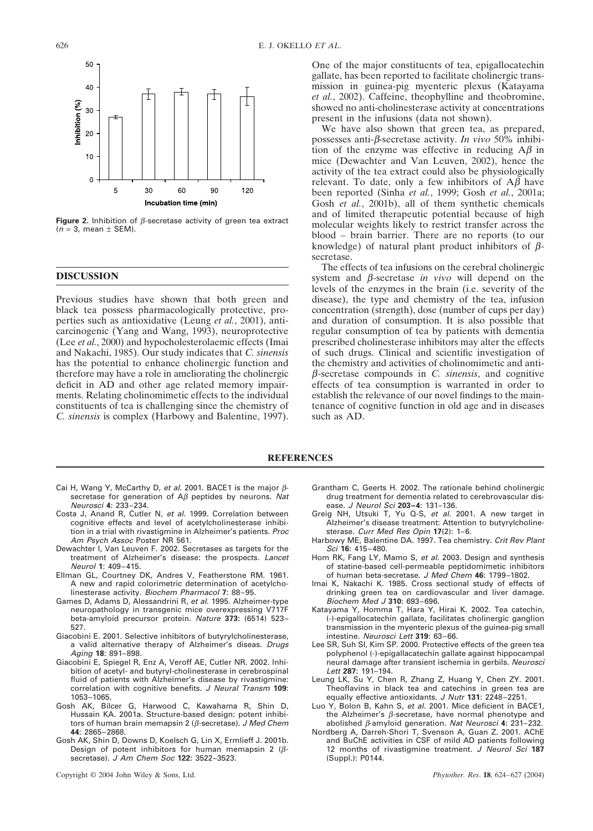

**Figure 2.** Inhibition of β-secretase activity of green tea extract  $(n = 3,$  mean  $\pm$  SEM).

#### **DISCUSSION**

Previous studies have shown that both green and black tea possess pharmacologically protective, properties such as antioxidative (Leung *et al.*, 2001), anticarcinogenic (Yang and Wang, 1993), neuroprotective (Lee *et al.*, 2000) and hypocholesterolaemic effects (Imai and Nakachi, 1985). Our study indicates that *C. sinensis* has the potential to enhance cholinergic function and therefore may have a role in ameliorating the cholinergic deficit in AD and other age related memory impairments. Relating cholinomimetic effects to the individual constituents of tea is challenging since the chemistry of *C. sinensis* is complex (Harbowy and Balentine, 1997). One of the major constituents of tea, epigallocatechin gallate, has been reported to facilitate cholinergic transmission in guinea-pig myenteric plexus (Katayama *et al.*, 2002). Caffeine, theophylline and theobromine, showed no anti-cholinesterase activity at concentrations present in the infusions (data not shown).

We have also shown that green tea, as prepared, possesses anti-β-secretase activity. *In vivo* 50% inhibition of the enzyme was effective in reducing  $A\beta$  in mice (Dewachter and Van Leuven, 2002), hence the activity of the tea extract could also be physiologically relevant. To date, only a few inhibitors of  $A\beta$  have been reported (Sinha *et al.*, 1999; Gosh *et al.*, 2001a; Gosh *et al.*, 2001b), all of them synthetic chemicals and of limited therapeutic potential because of high molecular weights likely to restrict transfer across the blood – brain barrier. There are no reports (to our knowledge) of natural plant product inhibitors of  $\beta$ secretase.

The effects of tea infusions on the cerebral cholinergic system and β-secretase *in vivo* will depend on the levels of the enzymes in the brain (i.e. severity of the disease), the type and chemistry of the tea, infusion concentration (strength), dose (number of cups per day) and duration of consumption. It is also possible that regular consumption of tea by patients with dementia prescribed cholinesterase inhibitors may alter the effects of such drugs. Clinical and scientific investigation of the chemistry and activities of cholinomimetic and antiβ-secretase compounds in *C. sinensis*, and cognitive effects of tea consumption is warranted in order to establish the relevance of our novel findings to the maintenance of cognitive function in old age and in diseases such as AD.

#### **REFERENCES**

- Cai H, Wang Y, McCarthy D, et al. 2001. BACE1 is the major βsecretase for generation of  $A\beta$  peptides by neurons. Nat Neurosci **4**: 233–234.
- Costa J, Anand R, Cutler N, et al. 1999. Correlation between cognitive effects and level of acetylcholinesterase inhibition in a trial with rivastigmine in Alzheimer's patients. Proc Am Psych Assoc Poster NR 561.
- Dewachter I, Van Leuven F. 2002. Secretases as targets for the treatment of Alzheimer's disease: the prospects. Lancet Neurol **1**: 409–415.
- Ellman GL, Courtney DK, Andres V, Featherstone RM. 1961. A new and rapid colorimetric determination of acetylcholinesterase activity. Biochem Pharmacol **7**: 88–95.
- Games D, Adams D, Alessandrini R, et al. 1995. Alzheimer-type neuropathology in transgenic mice overexpressing V717F beta-amyloid precursor protein. Nature **373:** (6514) 523– 527.
- Giacobini E. 2001. Selective inhibitors of butyrylcholinesterase, a valid alternative therapy of Alzheimer's diseas. Drugs Aging **18**: 891–898.
- Giacobini E, Spiegel R, Enz A, Veroff AE, Cutler NR. 2002. Inhibition of acetyl- and butyryl-cholinesterase in cerebrospinal fluid of patients with Alzheimer's disease by rivastigmine: correlation with cognitive benefits. J Neural Transm **109**: 1053–1065.
- Gosh AK, Bilcer G, Harwood C, Kawahama R, Shin D, Hussain KA. 2001a. Structure-based design: potent inhibitors of human brain memapsin 2 ( $β$ -secretase). J Med Chem **44**: 2865–2868.
- Gosh AK, Shin D, Downs D, Koelsch G, Lin X, Ermlieff J. 2001b. Design of potent inhibitors for human memapsin 2 ( $\beta$ secretase). J Am Chem Soc **122**: 3522–3523.

Copyright © 2004 John Wiley & Sons, Ltd. *Phytother. Res*. **18**, 624–627 (2004)

- Grantham C, Geerts H. 2002. The rationale behind cholinergic drug treatment for dementia related to cerebrovascular disease. J Neurol Sci **203–4**: 131–136.
- Greig NH, Utsuki T, Yu Q-S, et al. 2001. A new target in Alzheimer's disease treatment: Attention to butyrylcholinesterase. Curr Med Res Opin **17**(2): 1–6.
- Harbowy ME, Balentine DA. 1997. Tea chemistry. Crit Rev Plant Sci **16**: 415–480.
- Hom RK, Fang LY, Mamo S, et al. 2003. Design and synthesis of statine-based cell-permeable peptidomimetic inhibitors of human beta-secretase. J Med Chem **46**: 1799–1802.
- Imai K, Nakachi K. 1985. Cross sectional study of effects of drinking green tea on cardiovascular and liver damage. Biochem Med J **310**: 693–696.
- Katayama Y, Homma T, Hara Y, Hirai K. 2002. Tea catechin, (-)-epigallocatechin gallate, facilitates cholinergic ganglion transmission in the myenteric plexus of the guinea-pig small intestine. Neurosci Lett **319**: 63–66.
- Lee SR, Suh SI, Kim SP. 2000. Protective effects of the green tea polyphenol (-)-epigallacatechin gallate against hippocampal neural damage after transient ischemia in gerbils. Neurosci Lett **287**: 191–194.
- Leung LK, Su Y, Chen R, Zhang Z, Huang Y, Chen ZY. 2001. Theoflavins in black tea and catechins in green tea are equally effective antioxidants. J Nutr **131**: 2248–2251.
- Luo Y, Bolon B, Kahn S, et al. 2001. Mice deficient in BACE1, the Alzheimer's  $\beta$ -secretase, have normal phenotype and abolished β-amyloid generation. Nat Neurosci **4**: 231–232.
- Nordberg A, Darreh-Shori T, Svenson A, Guan Z. 2001. AChE and BuChE activities in CSF of mild AD patients following 12 months of rivastigmine treatment. J Neurol Sci **187** (Suppl.): P0144.